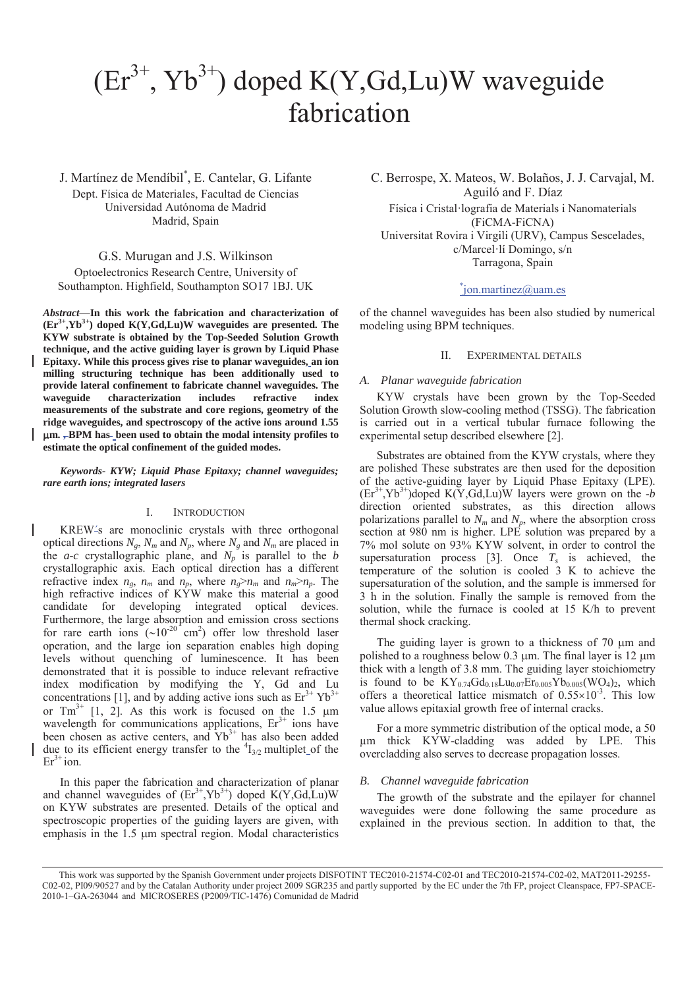# $(Er^{3+}, Yb^{3+})$  doped K(Y,Gd,Lu)W waveguide fabrication

J. Martínez de Mendíbil\* , E. Cantelar, G. Lifante Dept. Física de Materiales, Facultad de Ciencias Universidad Autónoma de Madrid Madrid, Spain

# G.S. Murugan and J.S. Wilkinson

Optoelectronics Research Centre, University of Southampton. Highfield, Southampton SO17 1BJ. UK

*Abstract***—In this work the fabrication and characterization of**   $(Er^{3+}, Yb^{3+})$  doped  $K(Y, Gd, Lu)W$  waveguides are presented. The **KYW substrate is obtained by the Top-Seeded Solution Growth technique, and the active guiding layer is grown by Liquid Phase Epitaxy. While this process gives rise to planar waveguides, an ion milling structuring technique has been additionally used to provide lateral confinement to fabricate channel waveguides. The waveguide characterization includes refractive index measurements of the substrate and core regions, geometry of the ridge waveguides, and spectroscopy of the active ions around 1.55**  P**m. , BPM has been used to obtain the modal intensity profiles to estimate the optical confinement of the guided modes.** 

# *Keywords- KYW; Liquid Phase Epitaxy; channel waveguides; rare earth ions; integrated lasers*

### I. INTRODUCTION

KREW´s are monoclinic crystals with three orthogonal optical directions  $N_g$ ,  $N_m$  and  $N_p$ , where  $N_g$  and  $N_m$  are placed in the  $a-c$  crystallographic plane, and  $N_p$  is parallel to the *b* crystallographic axis. Each optical direction has a different refractive index  $n_g$ ,  $n_m$  and  $n_p$ , where  $n_g > n_m$  and  $n_m > n_p$ . The high refractive indices of KYW make this material a good candidate for developing integrated optical devices. Furthermore, the large absorption and emission cross sections for rare earth ions  $({\sim}10^{-20} \text{ cm}^2)$  offer low threshold laser operation, and the large ion separation enables high doping levels without quenching of luminescence. It has been demonstrated that it is possible to induce relevant refractive index modification by modifying the Y, Gd and Lu concentrations [1], and by adding active ions such as  $Er^{3+} Yb^{3+}$ or  $Tm^{3+}$  [1, 2]. As this work is focused on the 1.5  $\mu$ m wavelength for communications applications,  $Er<sup>3+</sup>$  ions have been chosen as active centers, and  $Yb^{3+}$  has also been added due to its efficient energy transfer to the  $\frac{4}{32}$  multiplet of the  $Er<sup>3+</sup>$  ion.

In this paper the fabrication and characterization of planar and channel waveguides of  $(Er^{3+}, Yb^{3+})$  doped K(Y,Gd,Lu)W on KYW substrates are presented. Details of the optical and spectroscopic properties of the guiding layers are given, with emphasis in the  $1.5 \mu m$  spectral region. Modal characteristics

C. Berrospe, X. Mateos, W. Bolaños, J. J. Carvajal, M. Aguiló and F. Díaz

Física i Cristal·lografia de Materials i Nanomaterials (FiCMA-FiCNA) Universitat Rovira i Virgili (URV), Campus Sescelades, c/Marcel·lí Domingo, s/n Tarragona, Spain

# \* jon.martinez@uam.es

of the channel waveguides has been also studied by numerical modeling using BPM techniques.

# II. EXPERIMENTAL DETAILS

#### *A. Planar waveguide fabrication*

KYW crystals have been grown by the Top-Seeded Solution Growth slow-cooling method (TSSG). The fabrication is carried out in a vertical tubular furnace following the experimental setup described elsewhere [2].

Substrates are obtained from the KYW crystals, where they are polished These substrates are then used for the deposition of the active-guiding layer by Liquid Phase Epitaxy (LPE).  $(Er<sup>3+</sup>, Yb<sup>3+</sup>)$ doped K(Y,Gd,Lu)W layers were grown on the -*b* direction oriented substrates, as this direction allows polarizations parallel to  $N_m$  and  $N_p$ , where the absorption cross section at 980 nm is higher. LPE solution was prepared by a 7% mol solute on 93% KYW solvent, in order to control the supersaturation process [3]. Once  $T_s$  is achieved, the temperature of the solution is cooled 3 K to achieve the supersaturation of the solution, and the sample is immersed for 3 h in the solution. Finally the sample is removed from the solution, while the furnace is cooled at 15 K/h to prevent thermal shock cracking.

The guiding layer is grown to a thickness of  $70 \mu m$  and polished to a roughness below 0.3  $\mu$ m. The final layer is 12  $\mu$ m thick with a length of 3.8 mm. The guiding layer stoichiometry is found to be  $KY_{0.74}Gd_{0.18}Lu_{0.07}Er_{0.005}Yb_{0.005}(WO_4)_2$ , which offers a theoretical lattice mismatch of  $0.55 \times 10^{-3}$ . This low value allows epitaxial growth free of internal cracks.

For a more symmetric distribution of the optical mode, a 50 μm thick KYW-cladding was added by LPE. This overcladding also serves to decrease propagation losses.

#### *B. Channel waveguide fabrication*

The growth of the substrate and the epilayer for channel waveguides were done following the same procedure as explained in the previous section. In addition to that, the

This work was supported by the Spanish Government under projects DISFOTINT TEC2010-21574-C02-01 and TEC2010-21574-C02-02, MAT2011-29255- C02-02, PI09/90527 and by the Catalan Authority under project 2009 SGR235 and partly supported by the EC under the 7th FP, project Cleanspace, FP7-SPACE-2010-1–GA-263044 and MICROSERES (P2009/TIC-1476) Comunidad de Madrid